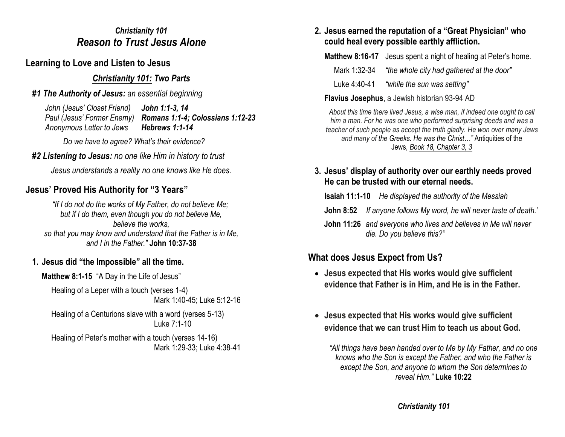#### *Christianity 101 Reason to Trust Jesus Alone*

# **Learning to Love and Listen to Jesus**

## *Christianity 101: Two Parts*

## *#1 The Authority of Jesus: an essential beginning*

*John (Jesus' Closet Friend) John 1:1-3, 14 Paul (Jesus' Former Enemy) Romans 1:1-4; Colossians 1:12-23 Anonymous Letter to Jews Hebrews 1:1-14*

 *Do we have to agree? What's their evidence?* 

### *#2 Listening to Jesus: no one like Him in history to trust*

*Jesus understands a reality no one knows like He does.* 

# **Jesus' Proved His Authority for "3 Years"**

*"If I do not do the works of My Father, do not believe Me; but if I do them, even though you do not believe Me, believe the works, so that you may know and understand that the Father is in Me, and I in the Father."* **John 10:37-38**

# **1. Jesus did "the Impossible" all the time.**

**Matthew 8:1-15** "A Day in the Life of Jesus"

Healing of a Leper with a touch (verses 1-4) Mark 1:40-45; Luke 5:12-16

Healing of a Centurions slave with a word (verses 5-13) Luke 7:1-10

Healing of Peter's mother with a touch (verses 14-16) Mark 1:29-33; Luke 4:38-41

#### **2. Jesus earned the reputation of a "Great Physician" who could heal every possible earthly affliction.**

**Matthew 8:16-17** Jesus spent a night of healing at Peter's home.

Mark 1:32-34 *"the whole city had gathered at the door"*

Luke 4:40-41 *"while the sun was setting"*

**Flavius Josephus**, a Jewish historian 93-94 AD

*About this time there lived Jesus, a wise man, if indeed one ought to call him a man. For he was one who performed surprising deeds and was a teacher of such people as accept the truth gladly. He won over many Jews and many of the Greeks. He was the Christ…"* Antiquities of the Jews, *[Book 18, Chapter 3, 3](https://en.wikisource.org/wiki/The_Antiquities_of_the_Jews/Book_XVIII#Chapter_3)*

#### **3. Jesus' display of authority over our earthly needs proved He can be trusted with our eternal needs.**

**Isaiah 11:1-10** *He displayed the authority of the Messiah*

- **John 8:52** *If anyone follows My word, he will never taste of death.'*
- **John 11:26** *and everyone who lives and believes in Me will never die. Do you believe this?"*

# **What does Jesus Expect from Us?**

- **Jesus expected that His works would give sufficient evidence that Father is in Him, and He is in the Father.**
- **Jesus expected that His works would give sufficient evidence that we can trust Him to teach us about God.**

*"All things have been handed over to Me by My Father, and no one knows who the Son is except the Father, and who the Father is except the Son, and anyone to whom the Son determines to reveal Him."* **Luke 10:22**